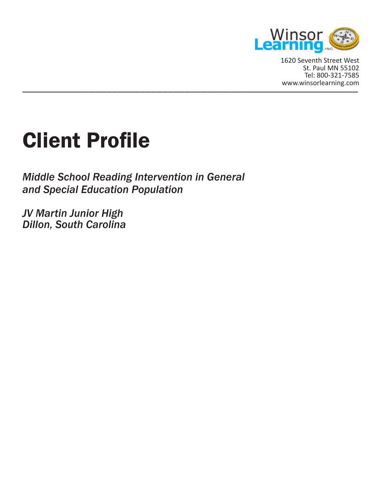

\_\_\_\_\_\_\_\_\_\_\_\_\_\_\_\_\_\_\_\_\_\_\_\_\_\_\_\_\_\_\_\_\_\_\_\_\_\_\_\_\_\_\_\_\_\_\_\_\_\_\_\_\_\_\_\_\_\_\_\_ www.winsorlearning.com1620 Seventh Street West St. Paul MN 55102 Tel: 800-321-7585

# Client Profile

*Middle School Reading Intervention in General and Special Education Population*

*JV Martin Junior High Dillon, South Carolina*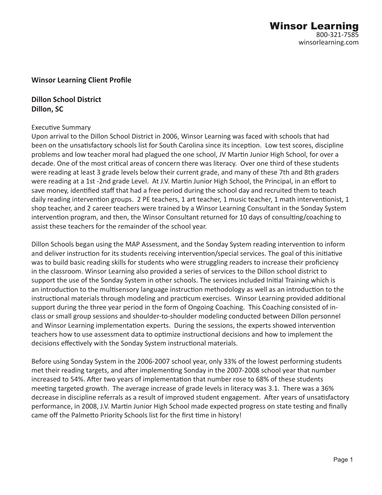## **Winsor Learning Client Profile**

**Dillon School District Dillon, SC**

#### Executive Summary

Upon arrival to the Dillon School District in 2006, Winsor Learning was faced with schools that had been on the unsatisfactory schools list for South Carolina since its inception. Low test scores, discipline problems and low teacher moral had plagued the one school, JV Martin Junior High School, for over a decade. One of the most cri�cal areas of concern there was literacy. Over one third of these students were reading at least 3 grade levels below their current grade, and many of these 7th and 8th graders were reading at a 1st -2nd grade Level. At J.V. Martin Junior High School, the Principal, in an effort to save money, identified staff that had a free period during the school day and recruited them to teach daily reading intervention groups. 2 PE teachers, 1 art teacher, 1 music teacher, 1 math interventionist, 1 shop teacher, and 2 career teachers were trained by a Winsor Learning Consultant in the Sonday System intervention program, and then, the Winsor Consultant returned for 10 days of consulting/coaching to assist these teachers for the remainder of the school year.

Dillon Schools began using the MAP Assessment, and the Sonday System reading intervention to inform and deliver instruction for its students receiving intervention/special services. The goal of this initiative was to build basic reading skills for students who were struggling readers to increase their proficiency in the classroom. Winsor Learning also provided a series of services to the Dillon school district to support the use of the Sonday System in other schools. The services included Initial Training which is an introduction to the multisensory language instruction methodology as well as an introduction to the instructional materials through modeling and practicum exercises. Winsor Learning provided additional support during the three year period in the form of Ongoing Coaching. This Coaching consisted of inclass or small group sessions and shoulder-to-shoulder modeling conducted between Dillon personnel and Winsor Learning implementation experts. During the sessions, the experts showed intervention teachers how to use assessment data to optimize instructional decisions and how to implement the decisions effectively with the Sonday System instructional materials.

Before using Sonday System in the 2006-2007 school year, only 33% of the lowest performing students met their reading targets, and after implementing Sonday in the 2007-2008 school year that number increased to 54%. After two years of implementation that number rose to 68% of these students meeting targeted growth. The average increase of grade levels in literacy was 3.1. There was a 36% decrease in discipline referrals as a result of improved student engagement. After years of unsatisfactory performance, in 2008, J.V. Martin Junior High School made expected progress on state testing and finally came off the Palmetto Priority Schools list for the first time in history!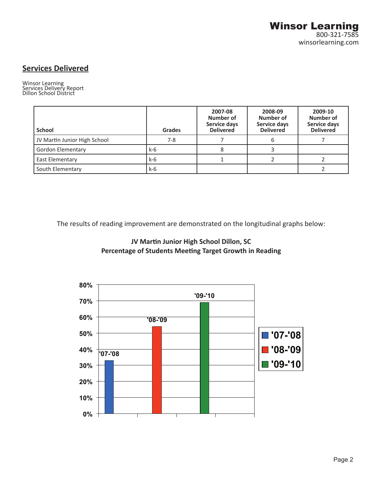# **Services Delivered**

Winsor Learning Services Delivery Report Dillon School District

| <b>School</b>                | Grades | 2007-08<br>Number of<br>Service days<br><b>Delivered</b> | 2008-09<br>Number of<br>Service days<br><b>Delivered</b> | 2009-10<br>Number of<br><b>Service days</b><br><b>Delivered</b> |
|------------------------------|--------|----------------------------------------------------------|----------------------------------------------------------|-----------------------------------------------------------------|
| JV Martin Junior High School | $7-8$  |                                                          |                                                          |                                                                 |
| Gordon Elementary            | k-6    |                                                          |                                                          |                                                                 |
| East Elementary              | $k-6$  |                                                          |                                                          |                                                                 |
| South Elementary             | k-6    |                                                          |                                                          |                                                                 |

The results of reading improvement are demonstrated on the longitudinal graphs below:



**JV Martin Junior High School Dillon, SC** Percentage of Students Meeting Target Growth in Reading